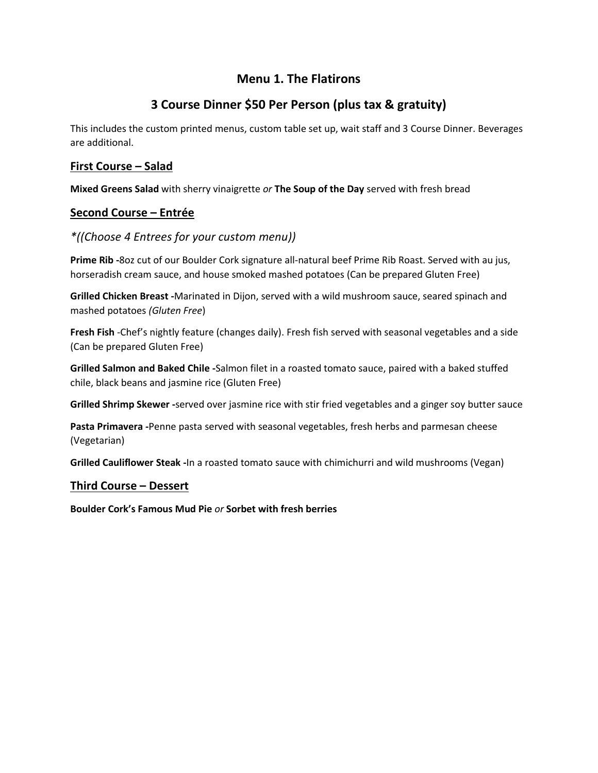# **Menu 1. The Flatirons**

# **3 Course Dinner \$50 Per Person (plus tax & gratuity)**

This includes the custom printed menus, custom table set up, wait staff and 3 Course Dinner. Beverages are additional.

### **First Course – Salad**

**Mixed Greens Salad** with sherry vinaigrette *or* **The Soup of the Day** served with fresh bread

## **Second Course – Entrée**

### *\*((Choose 4 Entrees for your custom menu))*

**Prime Rib -**8oz cut of our Boulder Cork signature all-natural beef Prime Rib Roast. Served with au jus, horseradish cream sauce, and house smoked mashed potatoes (Can be prepared Gluten Free)

**Grilled Chicken Breast -**Marinated in Dijon, served with a wild mushroom sauce, seared spinach and mashed potatoes *(Gluten Free*)

**Fresh Fish** -Chef's nightly feature (changes daily). Fresh fish served with seasonal vegetables and a side (Can be prepared Gluten Free)

**Grilled Salmon and Baked Chile -**Salmon filet in a roasted tomato sauce, paired with a baked stuffed chile, black beans and jasmine rice (Gluten Free)

**Grilled Shrimp Skewer -**served over jasmine rice with stir fried vegetables and a ginger soy butter sauce

**Pasta Primavera -**Penne pasta served with seasonal vegetables, fresh herbs and parmesan cheese (Vegetarian)

**Grilled Cauliflower Steak -**In a roasted tomato sauce with chimichurri and wild mushrooms (Vegan)

### **Third Course – Dessert**

**Boulder Cork's Famous Mud Pie** *or* **Sorbet with fresh berries**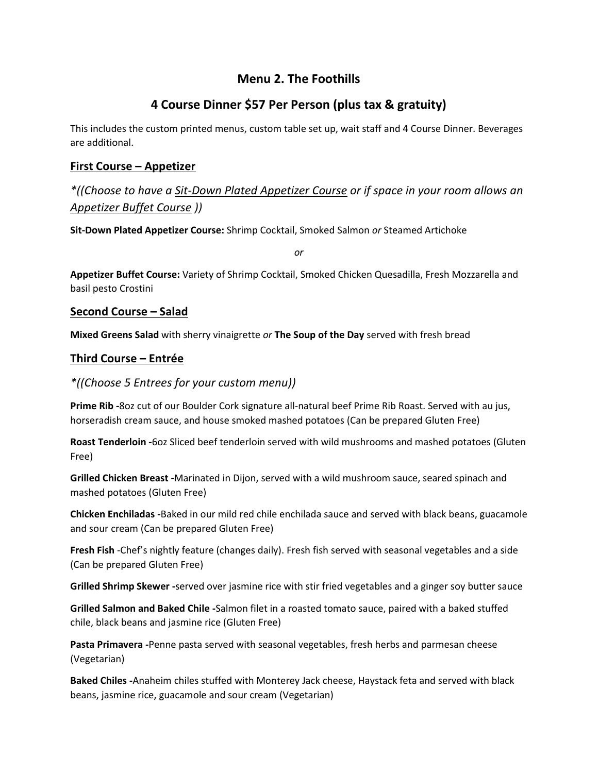# **Menu 2. The Foothills**

# **4 Course Dinner \$57 Per Person (plus tax & gratuity)**

This includes the custom printed menus, custom table set up, wait staff and 4 Course Dinner. Beverages are additional.

## **First Course – Appetizer**

*\*((Choose to have a Sit-Down Plated Appetizer Course or if space in your room allows an Appetizer Buffet Course ))*

**Sit-Down Plated Appetizer Course:** Shrimp Cocktail, Smoked Salmon *or* Steamed Artichoke

*or*

**Appetizer Buffet Course:** Variety of Shrimp Cocktail, Smoked Chicken Quesadilla, Fresh Mozzarella and basil pesto Crostini

## **Second Course – Salad**

**Mixed Greens Salad** with sherry vinaigrette *or* **The Soup of the Day** served with fresh bread

## **Third Course – Entrée**

## *\*((Choose 5 Entrees for your custom menu))*

**Prime Rib -**8oz cut of our Boulder Cork signature all-natural beef Prime Rib Roast. Served with au jus, horseradish cream sauce, and house smoked mashed potatoes (Can be prepared Gluten Free)

**Roast Tenderloin -**6oz Sliced beef tenderloin served with wild mushrooms and mashed potatoes (Gluten Free)

**Grilled Chicken Breast -**Marinated in Dijon, served with a wild mushroom sauce, seared spinach and mashed potatoes (Gluten Free)

**Chicken Enchiladas -**Baked in our mild red chile enchilada sauce and served with black beans, guacamole and sour cream (Can be prepared Gluten Free)

**Fresh Fish** -Chef's nightly feature (changes daily). Fresh fish served with seasonal vegetables and a side (Can be prepared Gluten Free)

**Grilled Shrimp Skewer -**served over jasmine rice with stir fried vegetables and a ginger soy butter sauce

**Grilled Salmon and Baked Chile -**Salmon filet in a roasted tomato sauce, paired with a baked stuffed chile, black beans and jasmine rice (Gluten Free)

**Pasta Primavera -**Penne pasta served with seasonal vegetables, fresh herbs and parmesan cheese (Vegetarian)

**Baked Chiles -**Anaheim chiles stuffed with Monterey Jack cheese, Haystack feta and served with black beans, jasmine rice, guacamole and sour cream (Vegetarian)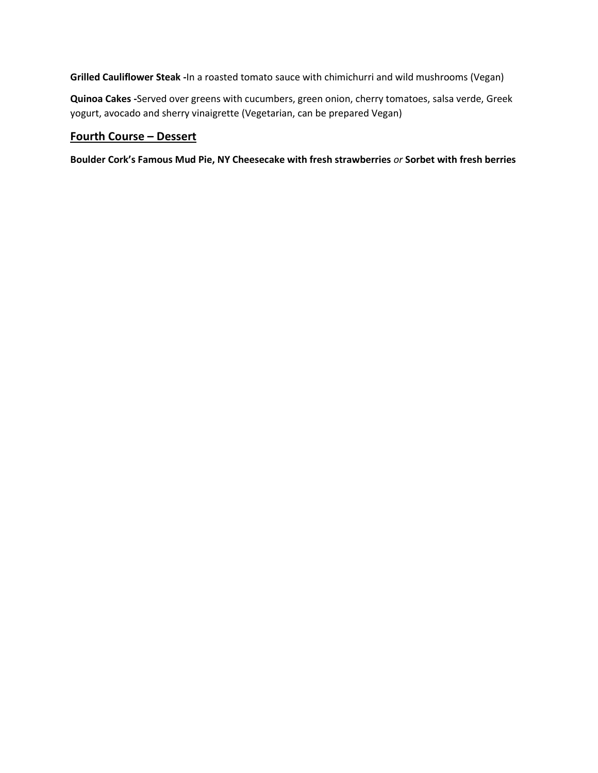**Grilled Cauliflower Steak -**In a roasted tomato sauce with chimichurri and wild mushrooms (Vegan)

**Quinoa Cakes -**Served over greens with cucumbers, green onion, cherry tomatoes, salsa verde, Greek yogurt, avocado and sherry vinaigrette (Vegetarian, can be prepared Vegan)

## **Fourth Course – Dessert**

**Boulder Cork's Famous Mud Pie, NY Cheesecake with fresh strawberries** *or* **Sorbet with fresh berries**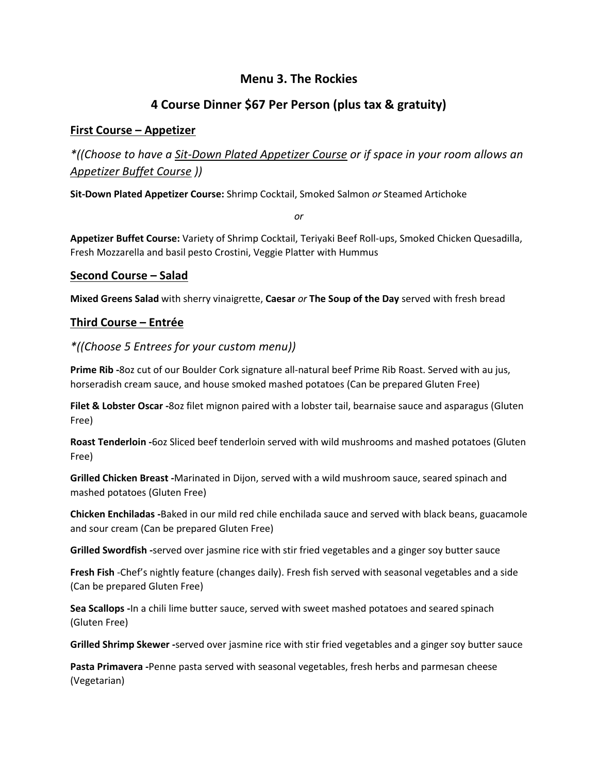# **Menu 3. The Rockies**

# **4 Course Dinner \$67 Per Person (plus tax & gratuity)**

## **First Course – Appetizer**

*\*((Choose to have a Sit-Down Plated Appetizer Course or if space in your room allows an Appetizer Buffet Course ))*

**Sit-Down Plated Appetizer Course:** Shrimp Cocktail, Smoked Salmon *or* Steamed Artichoke

*or*

**Appetizer Buffet Course:** Variety of Shrimp Cocktail, Teriyaki Beef Roll-ups, Smoked Chicken Quesadilla, Fresh Mozzarella and basil pesto Crostini, Veggie Platter with Hummus

## **Second Course – Salad**

**Mixed Greens Salad** with sherry vinaigrette, **Caesar** *or* **The Soup of the Day** served with fresh bread

## **Third Course – Entrée**

## *\*((Choose 5 Entrees for your custom menu))*

**Prime Rib -**8oz cut of our Boulder Cork signature all-natural beef Prime Rib Roast. Served with au jus, horseradish cream sauce, and house smoked mashed potatoes (Can be prepared Gluten Free)

**Filet & Lobster Oscar -**8oz filet mignon paired with a lobster tail, bearnaise sauce and asparagus (Gluten Free)

**Roast Tenderloin -**6oz Sliced beef tenderloin served with wild mushrooms and mashed potatoes (Gluten Free)

**Grilled Chicken Breast -**Marinated in Dijon, served with a wild mushroom sauce, seared spinach and mashed potatoes (Gluten Free)

**Chicken Enchiladas -**Baked in our mild red chile enchilada sauce and served with black beans, guacamole and sour cream (Can be prepared Gluten Free)

**Grilled Swordfish -**served over jasmine rice with stir fried vegetables and a ginger soy butter sauce

**Fresh Fish** -Chef's nightly feature (changes daily). Fresh fish served with seasonal vegetables and a side (Can be prepared Gluten Free)

**Sea Scallops -**In a chili lime butter sauce, served with sweet mashed potatoes and seared spinach (Gluten Free)

**Grilled Shrimp Skewer -**served over jasmine rice with stir fried vegetables and a ginger soy butter sauce

**Pasta Primavera -**Penne pasta served with seasonal vegetables, fresh herbs and parmesan cheese (Vegetarian)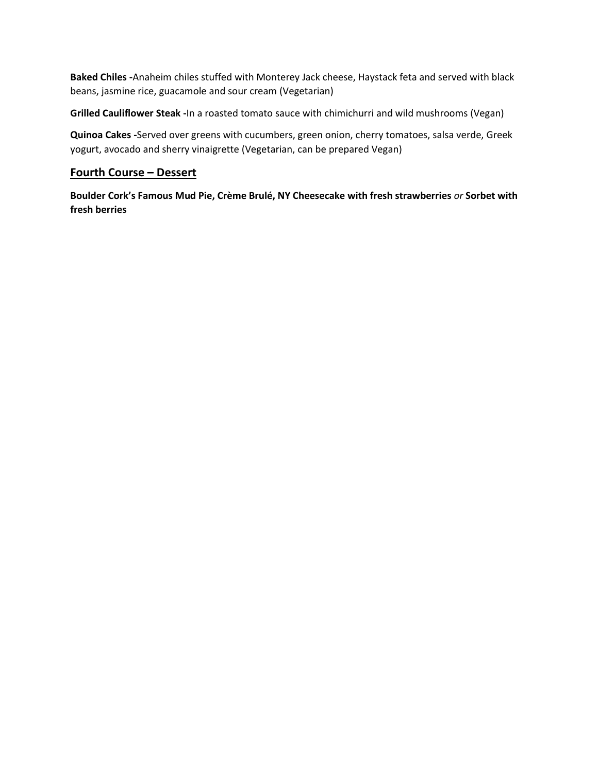**Baked Chiles -**Anaheim chiles stuffed with Monterey Jack cheese, Haystack feta and served with black beans, jasmine rice, guacamole and sour cream (Vegetarian)

**Grilled Cauliflower Steak -**In a roasted tomato sauce with chimichurri and wild mushrooms (Vegan)

**Quinoa Cakes -**Served over greens with cucumbers, green onion, cherry tomatoes, salsa verde, Greek yogurt, avocado and sherry vinaigrette (Vegetarian, can be prepared Vegan)

### **Fourth Course – Dessert**

**Boulder Cork's Famous Mud Pie, Crème Brulé, NY Cheesecake with fresh strawberries** *or* **Sorbet with fresh berries**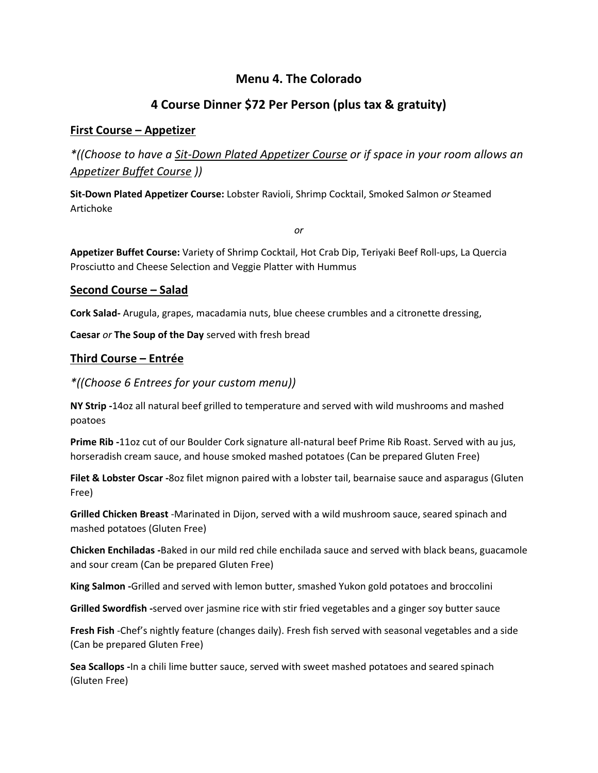# **Menu 4. The Colorado**

# **4 Course Dinner \$72 Per Person (plus tax & gratuity)**

### **First Course – Appetizer**

*\*((Choose to have a Sit-Down Plated Appetizer Course or if space in your room allows an Appetizer Buffet Course ))*

**Sit-Down Plated Appetizer Course:** Lobster Ravioli, Shrimp Cocktail, Smoked Salmon *or* Steamed Artichoke

*or*

**Appetizer Buffet Course:** Variety of Shrimp Cocktail, Hot Crab Dip, Teriyaki Beef Roll-ups, La Quercia Prosciutto and Cheese Selection and Veggie Platter with Hummus

#### **Second Course – Salad**

**Cork Salad-** Arugula, grapes, macadamia nuts, blue cheese crumbles and a citronette dressing,

**Caesar** *or* **The Soup of the Day** served with fresh bread

### **Third Course – Entrée**

### *\*((Choose 6 Entrees for your custom menu))*

**NY Strip -**14oz all natural beef grilled to temperature and served with wild mushrooms and mashed poatoes

**Prime Rib -**11oz cut of our Boulder Cork signature all-natural beef Prime Rib Roast. Served with au jus, horseradish cream sauce, and house smoked mashed potatoes (Can be prepared Gluten Free)

**Filet & Lobster Oscar -**8oz filet mignon paired with a lobster tail, bearnaise sauce and asparagus (Gluten Free)

**Grilled Chicken Breast** -Marinated in Dijon, served with a wild mushroom sauce, seared spinach and mashed potatoes (Gluten Free)

**Chicken Enchiladas -**Baked in our mild red chile enchilada sauce and served with black beans, guacamole and sour cream (Can be prepared Gluten Free)

**King Salmon -**Grilled and served with lemon butter, smashed Yukon gold potatoes and broccolini

**Grilled Swordfish -**served over jasmine rice with stir fried vegetables and a ginger soy butter sauce

**Fresh Fish** -Chef's nightly feature (changes daily). Fresh fish served with seasonal vegetables and a side (Can be prepared Gluten Free)

**Sea Scallops -**In a chili lime butter sauce, served with sweet mashed potatoes and seared spinach (Gluten Free)